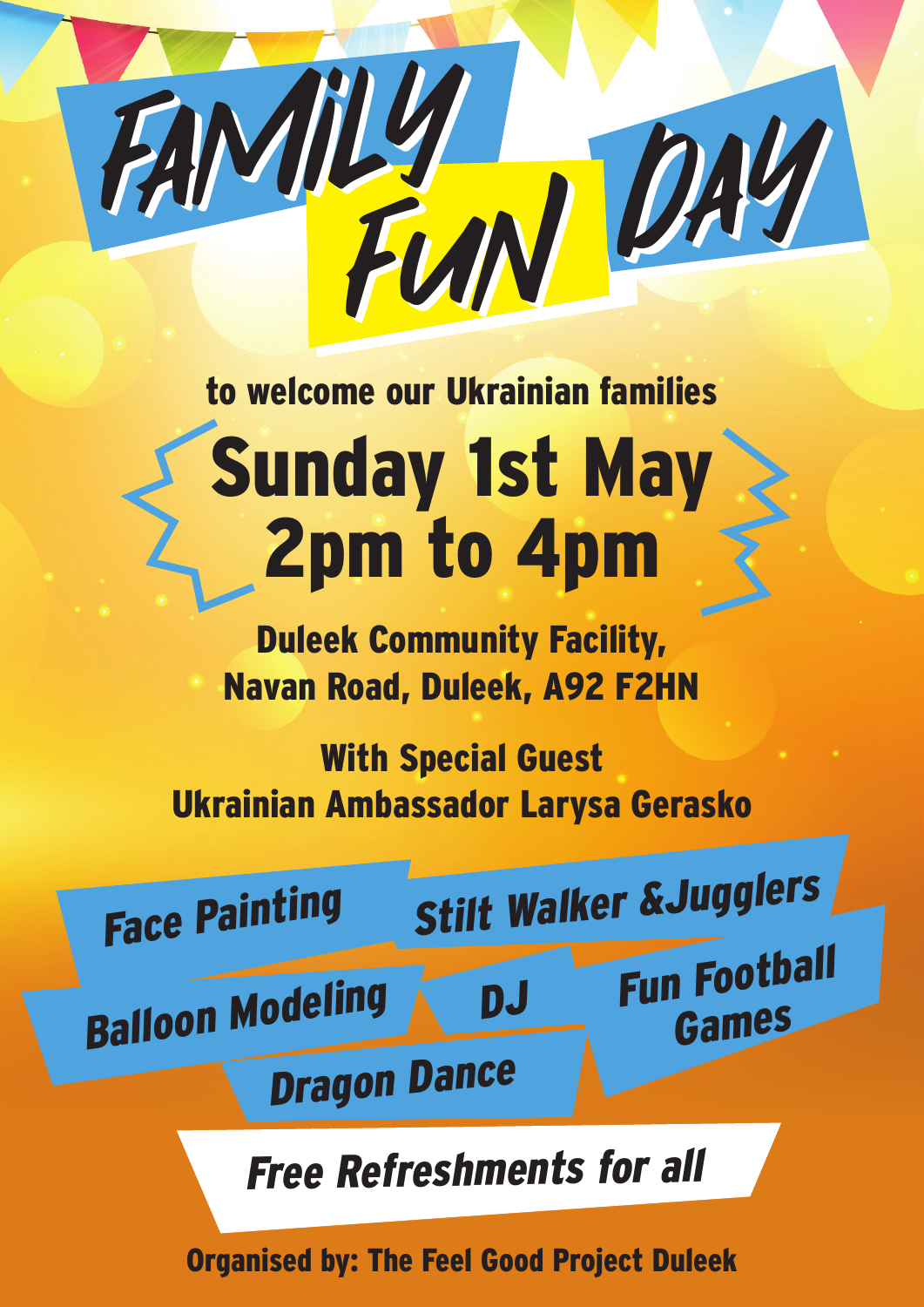

## to welcome our Ukrainian families Sunday 1st May 2pm to 4pm

Duleek Community Facility, Navan Road, Duleek, A92 F2HN

With Special Guest Ukrainian Ambassador Larysa Gerasko



Free Refreshments for all

Organised by: The Feel Good Project Duleek